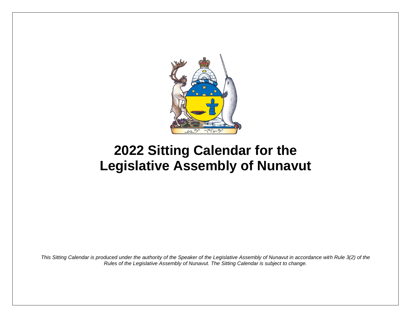

## **2022 Sitting Calendar for the Legislative Assembly of Nunavut**

*This Sitting Calendar is produced under the authority of the Speaker of the Legislative Assembly of Nunavut in accordance with Rule 3(2) of the Rules of the Legislative Assembly of Nunavut. The Sitting Calendar is subject to change.*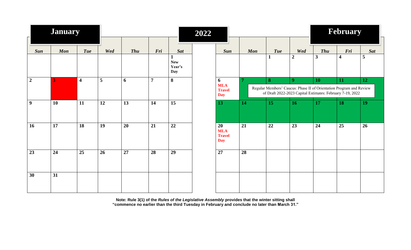|                  | <b>January</b> |                         |                         | 2022       |                |                             |  |                                                 |                 |                            |                       | February                   |                                                                                                                                        |                 |  |
|------------------|----------------|-------------------------|-------------------------|------------|----------------|-----------------------------|--|-------------------------------------------------|-----------------|----------------------------|-----------------------|----------------------------|----------------------------------------------------------------------------------------------------------------------------------------|-----------------|--|
| <b>Sun</b>       | <b>Mon</b>     | <b>Tue</b>              | Wed                     | <b>Thu</b> | Fri            | <b>Sat</b><br>$\mathbf 1$   |  | Sun                                             | <b>Mon</b>      | <b>Tue</b><br>$\mathbf{1}$ | Wed<br>$\overline{2}$ | <b>Thu</b><br>$\mathbf{3}$ | Fri<br>$\overline{\mathbf{4}}$                                                                                                         | <b>Sat</b><br>5 |  |
|                  |                |                         |                         |            |                | <b>New</b><br>Year's<br>Day |  |                                                 |                 |                            |                       |                            |                                                                                                                                        |                 |  |
| $\boldsymbol{2}$ | 3              | $\overline{\mathbf{4}}$ | $\overline{\mathbf{5}}$ | 6          | $\overline{7}$ | $\boldsymbol{8}$            |  | 6<br><b>MLA</b><br><b>Travel</b><br><b>Day</b>  | 7               | 8                          | 9 <sup>°</sup>        | 10                         | 11<br>Regular Members' Caucus: Phase II of Orientation Program and Review<br>of Draft 2022-2023 Capital Estimates: February 7-19, 2022 | 12              |  |
| $\boldsymbol{9}$ | 10             | 11                      | 12                      | 13         | 14             | 15                          |  | 13                                              | 14              | 15                         | 16                    | 17                         | 18                                                                                                                                     | 19              |  |
| 16               | 17             | 18                      | 19                      | 20         | 21             | 22                          |  | 20<br><b>MLA</b><br><b>Travel</b><br><b>Day</b> | $\overline{21}$ | $\overline{22}$            | 23                    | 24                         | $\overline{25}$                                                                                                                        | 26              |  |
| 23               | 24             | $\overline{25}$         | 26                      | 27         | 28             | 29                          |  | 27                                              | 28              |                            |                       |                            |                                                                                                                                        |                 |  |
| 30               | 31             |                         |                         |            |                |                             |  |                                                 |                 |                            |                       |                            |                                                                                                                                        |                 |  |

**Note: Rule 3(1) of the** *Rules of the Legislative Assembly* **provides that the winter sitting shall "commence no earlier than the third Tuesday in February and conclude no later than March 31."**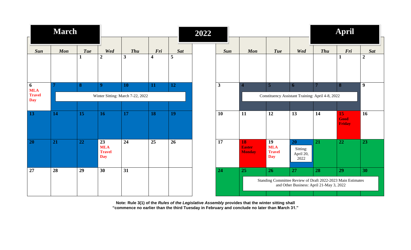|                             | <b>March</b> |              |                                                 |                                  |                  |            | 2022 |              |                                                  |                                                 |                                                                                                         | April          |                             |                |
|-----------------------------|--------------|--------------|-------------------------------------------------|----------------------------------|------------------|------------|------|--------------|--------------------------------------------------|-------------------------------------------------|---------------------------------------------------------------------------------------------------------|----------------|-----------------------------|----------------|
|                             |              |              |                                                 |                                  |                  |            |      |              |                                                  |                                                 |                                                                                                         |                |                             |                |
| Sun                         | Mon          | <b>Tue</b>   | Wed                                             | <b>Thu</b>                       | Fri              | <b>Sat</b> |      | <b>Sun</b>   | <b>Mon</b>                                       | <b>Tue</b>                                      | Wed                                                                                                     | <b>Thu</b>     | Fri                         | <b>Sat</b>     |
|                             |              | $\mathbf{1}$ | $\boldsymbol{2}$                                | $\mathbf{3}$                     | $\boldsymbol{4}$ | 5          |      |              |                                                  |                                                 |                                                                                                         |                | 1                           | $\overline{2}$ |
| 6<br><b>MLA</b>             |              | 8            | 9 <sup>°</sup>                                  | <b>10</b>                        | 11               | 12         |      | $\mathbf{3}$ | $\sqrt{2}$                                       | 5                                               | 6                                                                                                       | $\overline{7}$ | 8                           | 9              |
| <b>Travel</b><br><b>Day</b> |              |              |                                                 | Winter Sitting: March 7-22, 2022 |                  |            |      |              | Constituency Assistant Training: April 4-8, 2022 |                                                 |                                                                                                         |                |                             |                |
|                             |              |              |                                                 |                                  |                  |            |      |              |                                                  |                                                 |                                                                                                         |                |                             |                |
| 13                          | 14           | 15           | 16                                              | 17                               | <b>18</b>        | <b>19</b>  |      | 10           | 11                                               | 12                                              | 13                                                                                                      | 14             | 15<br>Good<br><b>Friday</b> | 16             |
| 20                          | 21           | 22           | 23<br><b>MLA</b><br><b>Travel</b><br><b>Day</b> | 24                               | 25               | 26         |      | 17           | 18<br><b>Easter</b><br><b>Monday</b>             | 19<br><b>MLA</b><br><b>Travel</b><br><b>Day</b> | <b>20</b><br>Sitting:<br>April 20,<br>2022                                                              | 21             | 22                          | 23             |
| 27                          | 28           | 29           | 30                                              | 31                               |                  |            |      | 24           | 25                                               | 26                                              | 27                                                                                                      | 28             | 29                          | 30             |
|                             |              |              |                                                 |                                  |                  |            |      |              |                                                  |                                                 | Standing Committee Review of Draft 2022-2023 Main Estimates<br>and Other Business: April 21-May 3, 2022 |                |                             |                |
|                             |              |              |                                                 |                                  |                  |            |      |              |                                                  |                                                 |                                                                                                         |                |                             |                |

**Note: Rule 3(1) of the** *Rules of the Legislative Assembly* **provides that the winter sitting shall "commence no earlier than the third Tuesday in February and conclude no later than March 31."**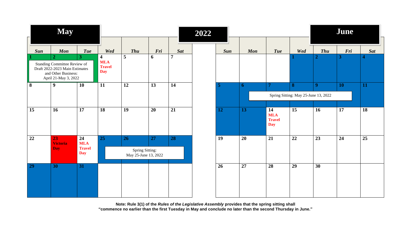|                         | <b>May</b>                                                                                                    |                                                 |                                              |                                               |          |                              | 2022 |            | June       |                                                 |                                      |                            |           |                                |
|-------------------------|---------------------------------------------------------------------------------------------------------------|-------------------------------------------------|----------------------------------------------|-----------------------------------------------|----------|------------------------------|------|------------|------------|-------------------------------------------------|--------------------------------------|----------------------------|-----------|--------------------------------|
| <b>Sun</b>              | Mon<br>$\overline{2}$                                                                                         | <b>Tue</b><br>3 <sup>1</sup>                    | Wed<br>$\overline{\mathbf{4}}$<br><b>MLA</b> | <b>Thu</b><br>5                               | Fri<br>6 | <b>Sat</b><br>$\overline{7}$ |      | <b>Sun</b> | <b>Mon</b> | <b>Tue</b>                                      | Wed                                  | <b>Thu</b><br>$\mathbf{2}$ | Fri<br>3  | <b>Sat</b><br>$\boldsymbol{4}$ |
|                         | Standing Committee Review of<br>Draft 2022-2023 Main Estimates<br>and Other Business:<br>April 21-May 3, 2022 |                                                 | <b>Travel</b><br><b>Day</b>                  |                                               |          |                              |      |            |            |                                                 |                                      |                            |           |                                |
| $\overline{\mathbf{8}}$ | $\boldsymbol{9}$                                                                                              | 10                                              | 11                                           | 12                                            | 13       | 14                           |      | 5          | 6          | п                                               | 8                                    | 9                          | <b>10</b> | 11                             |
|                         |                                                                                                               |                                                 |                                              |                                               |          |                              |      |            |            |                                                 | Spring Sitting: May 25-June 13, 2022 |                            |           |                                |
| 15                      | 16                                                                                                            | 17                                              | 18                                           | 19                                            | 20       | 21                           |      | 12         | 13         | 14<br><b>MLA</b><br><b>Travel</b><br><b>Day</b> | 15                                   | 16                         | 17        | 18                             |
| 22                      | 23<br><b>Victoria</b><br><b>Day</b>                                                                           | 24<br><b>MLA</b><br><b>Travel</b><br><b>Day</b> | 25                                           | 26<br>Spring Sitting:<br>May 25-June 13, 2022 | 27       | 28                           |      | 19         | 20         | 21                                              | 22                                   | 23                         | 24        | 25                             |
| 29                      | 30                                                                                                            | 31                                              |                                              |                                               |          |                              |      | 26         | 27         | 28                                              | 29                                   | 30                         |           |                                |

**Note: Rule 3(1) of the** *Rules of the Legislative Assembly* **provides that the spring sitting shall "commence no earlier than the first Tuesday in May and conclude no later than the second Thursday in June."**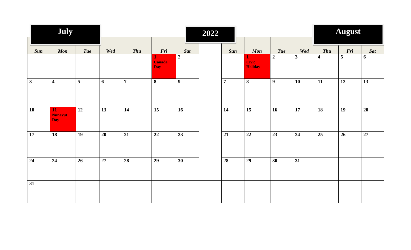| July            |                                    |                 |     |                 |                             |                  | 2022 |                 |                                |                  |                 | August                  |                 |                 |  |  |
|-----------------|------------------------------------|-----------------|-----|-----------------|-----------------------------|------------------|------|-----------------|--------------------------------|------------------|-----------------|-------------------------|-----------------|-----------------|--|--|
|                 |                                    |                 |     |                 |                             |                  |      |                 |                                |                  |                 |                         |                 |                 |  |  |
| <b>Sun</b>      | <b>Mon</b>                         | <b>Tue</b>      | Wed | <b>Thu</b>      | Fri                         | <b>Sat</b>       |      | Sun             | Mon                            | <b>Tue</b>       | Wed             | <b>Thu</b>              | Fri             | Sat             |  |  |
|                 |                                    |                 |     |                 | <b>Canada</b><br><b>Day</b> | $\overline{2}$   |      |                 | <b>Civic</b><br><b>Holiday</b> | $\overline{2}$   | $\mathbf{3}$    | $\overline{\mathbf{4}}$ | $\overline{5}$  | 6               |  |  |
| $\mathbf{3}$    | $\overline{\mathbf{4}}$            | 5               | 6   | $\overline{7}$  | 8                           | $\boldsymbol{9}$ |      | $\overline{7}$  | 8                              | $\boldsymbol{9}$ | 10              | 11                      | $\overline{12}$ | 13              |  |  |
| 10              | 11<br><b>Nunavut</b><br><b>Day</b> | 12              | 13  | 14              | 15                          | 16               |      | 14              | 15                             | 16               | $\overline{17}$ | $\overline{18}$         | <b>19</b>       | 20              |  |  |
| $\overline{17}$ | $\overline{18}$                    | $\overline{19}$ | 20  | $\overline{21}$ | $\overline{22}$             | 23               |      | $\overline{21}$ | $\overline{22}$                | 23               | $\overline{24}$ | $\overline{25}$         | 26              | $\overline{27}$ |  |  |
| 24              | $\overline{24}$                    | 26              | 27  | 28              | 29                          | 30               |      | 28              | 29                             | $\overline{30}$  | $\overline{31}$ |                         |                 |                 |  |  |
| 31              |                                    |                 |     |                 |                             |                  |      |                 |                                |                  |                 |                         |                 |                 |  |  |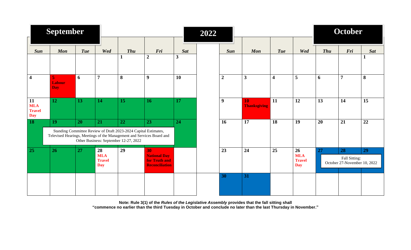| Ē.                                              | <b>September</b>                                                                                                                                                                                                |                 |                                                              |              |                                                                     |              | 2022 |                  |                           |                         | October                                         |            |                                                     |            |
|-------------------------------------------------|-----------------------------------------------------------------------------------------------------------------------------------------------------------------------------------------------------------------|-----------------|--------------------------------------------------------------|--------------|---------------------------------------------------------------------|--------------|------|------------------|---------------------------|-------------------------|-------------------------------------------------|------------|-----------------------------------------------------|------------|
| Sun                                             | <b>Mon</b>                                                                                                                                                                                                      | <b>Tue</b>      | Wed                                                          | <b>Thu</b>   | Fri                                                                 | <b>Sat</b>   |      | <b>Sun</b>       | <b>Mon</b>                | <b>Tue</b>              | Wed                                             | <b>Thu</b> | Fri                                                 | <b>Sat</b> |
|                                                 |                                                                                                                                                                                                                 |                 |                                                              | $\mathbf{1}$ | $\boldsymbol{2}$                                                    | $\mathbf{3}$ |      |                  |                           |                         |                                                 |            |                                                     | 1          |
| $\overline{\mathbf{4}}$                         | 5<br><b>Labour</b><br><b>Day</b>                                                                                                                                                                                | 6               | $\overline{7}$                                               | 8            | $\boldsymbol{9}$                                                    | 10           |      | $\boldsymbol{2}$ | $\mathbf{3}$              | $\overline{\mathbf{4}}$ | 5                                               | 6          | $\overline{7}$                                      | 8          |
| 11<br><b>MLA</b><br><b>Travel</b><br><b>Day</b> | 12                                                                                                                                                                                                              | 13              | 14                                                           | 15           | 16                                                                  | 17           |      | 9                | 10<br><b>Thanksgiving</b> | 11                      | 12                                              | 13         | 14                                                  | 15         |
| 18                                              | 19<br>20<br>21<br>22<br>23<br>Standing Committee Review of Draft 2023-2024 Capital Estimates,<br>Televised Hearings, Meetings of the Management and Services Board and<br>Other Business: September 12-27, 2022 |                 |                                                              |              |                                                                     | 24           |      | 16               | 17                        | 18                      | 19                                              | 20         | 21                                                  | 22         |
| 25                                              | 26                                                                                                                                                                                                              | $\overline{27}$ | $\overline{28}$<br><b>MLA</b><br><b>Travel</b><br><b>Day</b> | 29           | 30<br><b>National Day</b><br>for Truth and<br><b>Reconciliation</b> |              |      | 23               | 24                        | 25                      | 26<br><b>MLA</b><br><b>Travel</b><br><b>Day</b> | 27         | 28<br>Fall Sitting:<br>October 27-November 10, 2022 | 29         |
|                                                 |                                                                                                                                                                                                                 |                 |                                                              |              |                                                                     |              |      | 30               | 31                        |                         |                                                 |            |                                                     |            |

**Note: Rule 3(1) of the** *Rules of the Legislative Assembly* **provides that the fall sitting shall "commence no earlier than the third Tuesday in October and conclude no later than the last Thursday in November."**